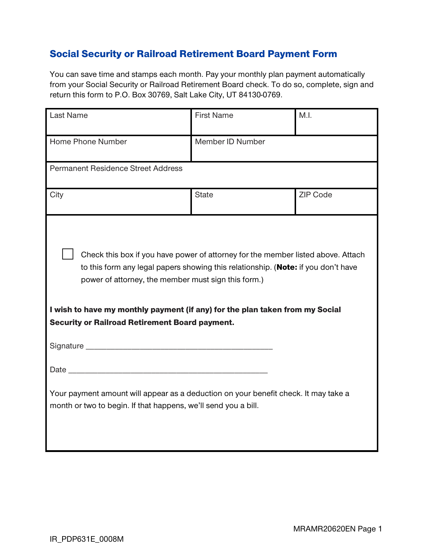## Social Security or Railroad Retirement Board Payment Form

You can save time and stamps each month. Pay your monthly plan payment automatically from your Social Security or Railroad Retirement Board check. To do so, complete, sign and return this form to P.O. Box 30769, Salt Lake City, UT 84130-0769.

| Last Name                                                                                                                                                                                                                                                                                                                                                                                                                                                                                                                      | <b>First Name</b> | M.I.            |
|--------------------------------------------------------------------------------------------------------------------------------------------------------------------------------------------------------------------------------------------------------------------------------------------------------------------------------------------------------------------------------------------------------------------------------------------------------------------------------------------------------------------------------|-------------------|-----------------|
| Home Phone Number                                                                                                                                                                                                                                                                                                                                                                                                                                                                                                              | Member ID Number  |                 |
| <b>Permanent Residence Street Address</b>                                                                                                                                                                                                                                                                                                                                                                                                                                                                                      |                   |                 |
| City                                                                                                                                                                                                                                                                                                                                                                                                                                                                                                                           | <b>State</b>      | <b>ZIP Code</b> |
| Check this box if you have power of attorney for the member listed above. Attach<br>to this form any legal papers showing this relationship. (Note: if you don't have<br>power of attorney, the member must sign this form.)<br>I wish to have my monthly payment (if any) for the plan taken from my Social<br><b>Security or Railroad Retirement Board payment.</b><br>Your payment amount will appear as a deduction on your benefit check. It may take a<br>month or two to begin. If that happens, we'll send you a bill. |                   |                 |